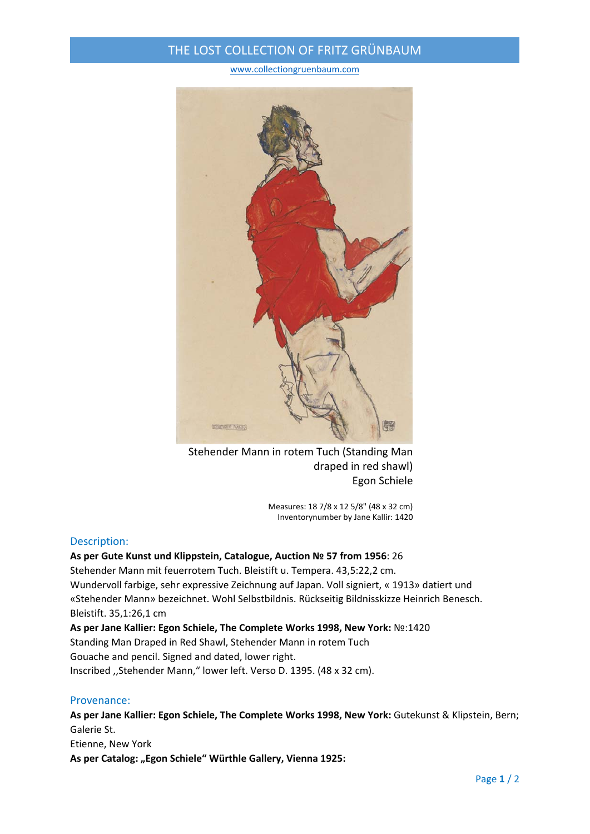## THE LOST COLLECTION OF FRITZ GRÜNBAUM

#### www.collectiongruenbaum.com



Stehender Mann in rotem Tuch (Standing Man draped in red shawl) Egon Schiele

Measures: 18 7/8 x 12 5/8" (48 x 32 cm) Inventorynumber by Jane Kallir: 1420

#### Description:

#### **As per Gute Kunst und Klippstein, Catalogue, Auction № 57 from 1956**: 26

Stehender Mann mit feuerrotem Tuch. Bleistift u. Tempera. 43,5:22,2 cm. Wundervoll farbige, sehr expressive Zeichnung auf Japan. Voll signiert, « 1913» datiert und «Stehender Mann» bezeichnet. Wohl Selbstbildnis. Rückseitig Bildnisskizze Heinrich Benesch. Bleistift. 35,1:26,1 cm

**As per Jane Kallier: Egon Schiele, The Complete Works 1998, New York:** №:1420 Standing Man Draped in Red Shawl, Stehender Mann in rotem Tuch Gouache and pencil. Signed and dated, lower right. Inscribed ,,Stehender Mann," lower left. Verso D. 1395. (48 x 32 cm).

### Provenance:

**As per Jane Kallier: Egon Schiele, The Complete Works 1998, New York:** Gutekunst & Klipstein, Bern; Galerie St.

Etienne, New York

**As per Catalog: "Egon Schiele" Würthle Gallery, Vienna 1925:**